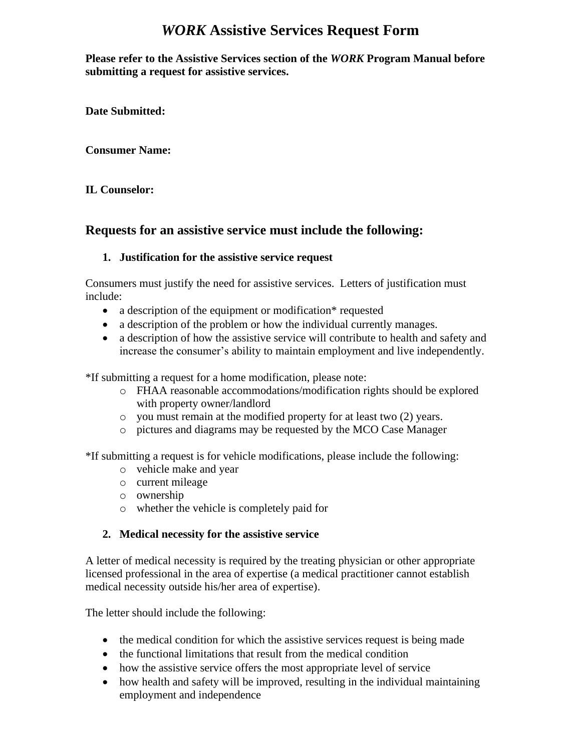# *WORK* **Assistive Services Request Form**

**Please refer to the Assistive Services section of the** *WORK* **Program Manual before submitting a request for assistive services.** 

**Date Submitted:**

**Consumer Name:**

**IL Counselor:**

# **Requests for an assistive service must include the following:**

# **1. Justification for the assistive service request**

Consumers must justify the need for assistive services. Letters of justification must include:

- a description of the equipment or modification\* requested
- a description of the problem or how the individual currently manages.
- a description of how the assistive service will contribute to health and safety and increase the consumer's ability to maintain employment and live independently.

\*If submitting a request for a home modification, please note:

- o FHAA reasonable accommodations/modification rights should be explored with property owner/landlord
- o you must remain at the modified property for at least two (2) years.
- o pictures and diagrams may be requested by the MCO Case Manager

\*If submitting a request is for vehicle modifications, please include the following:

- o vehicle make and year
- o current mileage
- o ownership
- o whether the vehicle is completely paid for

# **2. Medical necessity for the assistive service**

A letter of medical necessity is required by the treating physician or other appropriate licensed professional in the area of expertise (a medical practitioner cannot establish medical necessity outside his/her area of expertise).

The letter should include the following:

- the medical condition for which the assistive services request is being made
- the functional limitations that result from the medical condition
- how the assistive service offers the most appropriate level of service
- how health and safety will be improved, resulting in the individual maintaining employment and independence